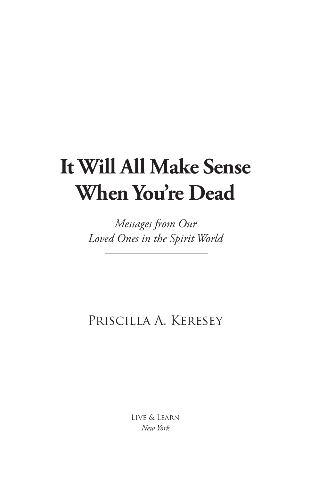# **It Will All Make Sense When You're Dead**

*Messages from Our Loved Ones in the Spirit World*

Priscilla A. Keresey

Live & Learn *New York*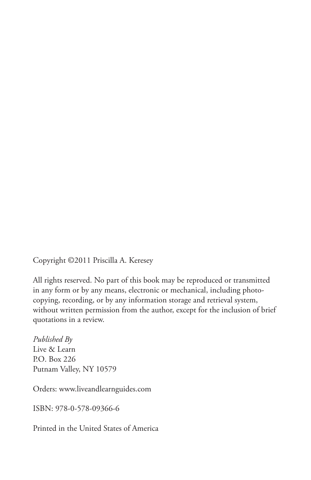Copyright ©2011 Priscilla A. Keresey

All rights reserved. No part of this book may be reproduced or transmitted in any form or by any means, electronic or mechanical, including photocopying, recording, or by any information storage and retrieval system, without written permission from the author, except for the inclusion of brief quotations in a review.

*Published By* Live & Learn P.O. Box 226 Putnam Valley, NY 10579

Orders: www.liveandlearnguides.com

ISBN: 978-0-578-09366-6

Printed in the United States of America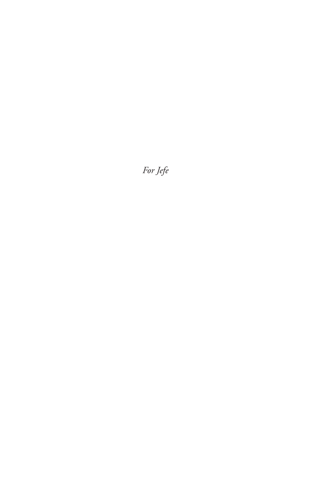# *For Jefe*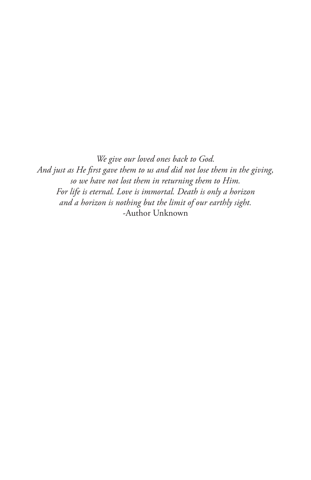*We give our loved ones back to God.* And just as He first gave them to us and did not lose them in the giving, *so we have not lost them in returning them to Him. For life is eternal. Love is immortal. Death is only a horizon and a horizon is nothing but the limit of our earthly sight.* -Author Unknown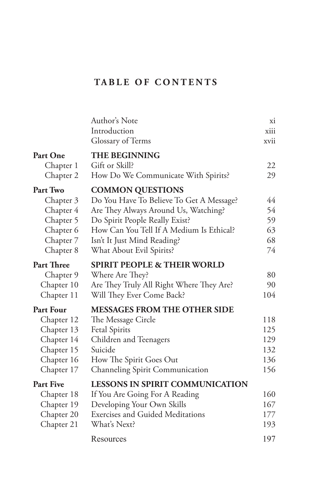## **TABLE OF CONTENTS**

| Introduction                                                                                                                                                                              | хi<br>xiii<br>xvii                                                                      |
|-------------------------------------------------------------------------------------------------------------------------------------------------------------------------------------------|-----------------------------------------------------------------------------------------|
| <b>THE BEGINNING</b><br>Gift or Skill?                                                                                                                                                    | 22<br>29                                                                                |
| <b>COMMON QUESTIONS</b><br>Do You Have To Believe To Get A Message?<br>Are They Always Around Us, Watching?<br>Do Spirit People Really Exist?<br>How Can You Tell If A Medium Is Ethical? | 44<br>54<br>59<br>63<br>68                                                              |
| What About Evil Spirits?                                                                                                                                                                  | 74                                                                                      |
| <b>SPIRIT PEOPLE &amp; THEIR WORLD</b><br>Where Are They?<br>Are They Truly All Right Where They Are?<br>Will They Ever Come Back?                                                        | 80<br>90<br>104                                                                         |
| <b>MESSAGES FROM THE OTHER SIDE</b>                                                                                                                                                       |                                                                                         |
| The Message Circle<br><b>Fetal Spirits</b><br>Children and Teenagers<br>Suicide<br>How The Spirit Goes Out<br>Channeling Spirit Communication                                             | 118<br>125<br>129<br>132<br>136<br>156                                                  |
| <b>LESSONS IN SPIRIT COMMUNICATION</b><br>If You Are Going For A Reading<br>Developing Your Own Skills<br><b>Exercises and Guided Meditations</b><br>What's Next?<br>Resources            | 160<br>167<br>177<br>193<br>197                                                         |
|                                                                                                                                                                                           | Glossary of Terms<br>How Do We Communicate With Spirits?<br>Isn't It Just Mind Reading? |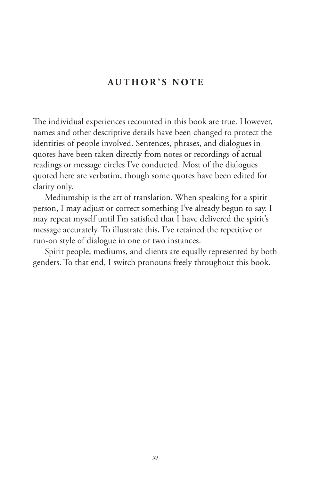### **AUTHOR'S NOTE**

The individual experiences recounted in this book are true. However, names and other descriptive details have been changed to protect the identities of people involved. Sentences, phrases, and dialogues in quotes have been taken directly from notes or recordings of actual readings or message circles I've conducted. Most of the dialogues quoted here are verbatim, though some quotes have been edited for clarity only.

Mediumship is the art of translation. When speaking for a spirit person, I may adjust or correct something I've already begun to say. I may repeat myself until I'm satisfied that I have delivered the spirit's message accurately. To illustrate this, I've retained the repetitive or run-on style of dialogue in one or two instances.

Spirit people, mediums, and clients are equally represented by both genders. To that end, I switch pronouns freely throughout this book.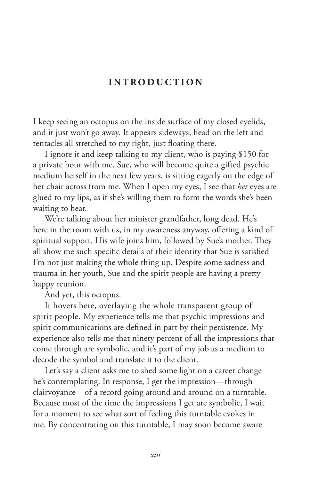#### **INTRODUCTION**

I keep seeing an octopus on the inside surface of my closed eyelids, and it just won't go away. It appears sideways, head on the left and tentacles all stretched to my right, just floating there.

I ignore it and keep talking to my client, who is paying \$150 for a private hour with me. Sue, who will become quite a gifted psychic medium herself in the next few years, is sitting eagerly on the edge of her chair across from me. When I open my eyes, I see that *her* eyes are glued to my lips, as if she's willing them to form the words she's been waiting to hear.

We're talking about her minister grandfather, long dead. He's here in the room with us, in my awareness anyway, offering a kind of spiritual support. His wife joins him, followed by Sue's mother. They all show me such specific details of their identity that Sue is satisfied I'm not just making the whole thing up. Despite some sadness and trauma in her youth, Sue and the spirit people are having a pretty happy reunion.

And yet, this octopus.

It hovers here, overlaying the whole transparent group of spirit people. My experience tells me that psychic impressions and spirit communications are defined in part by their persistence. My experience also tells me that ninety percent of all the impressions that come through are symbolic, and it's part of my job as a medium to decode the symbol and translate it to the client.

Let's say a client asks me to shed some light on a career change he's contemplating. In response, I get the impression—through clairvoyance—of a record going around and around on a turntable. Because most of the time the impressions I get are symbolic, I wait for a moment to see what sort of feeling this turntable evokes in me. By concentrating on this turntable, I may soon become aware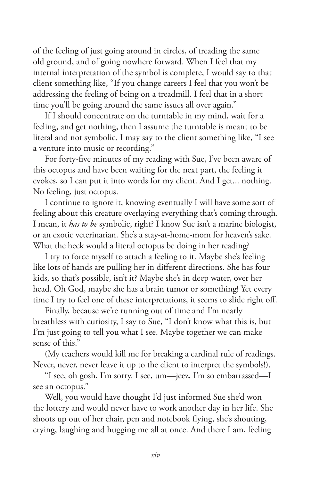of the feeling of just going around in circles, of treading the same old ground, and of going nowhere forward. When I feel that my internal interpretation of the symbol is complete, I would say to that client something like, "If you change careers I feel that you won't be addressing the feeling of being on a treadmill. I feel that in a short time you'll be going around the same issues all over again."

If I should concentrate on the turntable in my mind, wait for a feeling, and get nothing, then I assume the turntable is meant to be literal and not symbolic. I may say to the client something like, "I see a venture into music or recording."

For forty-five minutes of my reading with Sue, I've been aware of this octopus and have been waiting for the next part, the feeling it evokes, so I can put it into words for my client. And I get... nothing. No feeling, just octopus.

I continue to ignore it, knowing eventually I will have some sort of feeling about this creature overlaying everything that's coming through. I mean, it *has to be* symbolic, right? I know Sue isn't a marine biologist, or an exotic veterinarian. She's a stay-at-home-mom for heaven's sake. What the heck would a literal octopus be doing in her reading?

I try to force myself to attach a feeling to it. Maybe she's feeling like lots of hands are pulling her in different directions. She has four kids, so that's possible, isn't it? Maybe she's in deep water, over her head. Oh God, maybe she has a brain tumor or something! Yet every time I try to feel one of these interpretations, it seems to slide right off.

Finally, because we're running out of time and I'm nearly breathless with curiosity, I say to Sue, "I don't know what this is, but I'm just going to tell you what I see. Maybe together we can make sense of this."

(My teachers would kill me for breaking a cardinal rule of readings. Never, never, never leave it up to the client to interpret the symbols!).

"I see, oh gosh, I'm sorry. I see, um—jeez, I'm so embarrassed*—*I see an octopus."

Well, you would have thought I'd just informed Sue she'd won the lottery and would never have to work another day in her life. She shoots up out of her chair, pen and notebook flying, she's shouting, crying, laughing and hugging me all at once. And there I am, feeling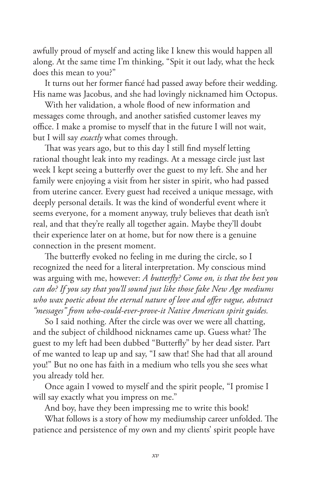awfully proud of myself and acting like I knew this would happen all along. At the same time I'm thinking, "Spit it out lady, what the heck does this mean to you?"

It turns out her former fiancé had passed away before their wedding. His name was Jacobus, and she had lovingly nicknamed him Octopus.

With her validation, a whole flood of new information and messages come through, and another satisfied customer leaves my office. I make a promise to myself that in the future I will not wait, but I will say *exactly* what comes through.

That was years ago, but to this day I still find myself letting rational thought leak into my readings. At a message circle just last week I kept seeing a butterfly over the guest to my left. She and her family were enjoying a visit from her sister in spirit, who had passed from uterine cancer. Every guest had received a unique message, with deeply personal details. It was the kind of wonderful event where it seems everyone, for a moment anyway, truly believes that death isn't real, and that they're really all together again. Maybe they'll doubt their experience later on at home, but for now there is a genuine connection in the present moment.

The butterfly evoked no feeling in me during the circle, so I recognized the need for a literal interpretation. My conscious mind was arguing with me, however: *A butterfly? Come on, is that the best you can do? If you say that you'll sound just like those fake New Age mediums*  who wax poetic about the eternal nature of love and offer vague, abstract *"messages" from who-could-ever-prove-it Native American spirit guides.* 

So I said nothing. After the circle was over we were all chatting, and the subject of childhood nicknames came up. Guess what? The guest to my left had been dubbed "Butterfly" by her dead sister. Part of me wanted to leap up and say, "I saw that! She had that all around you!" But no one has faith in a medium who tells you she sees what you already told her.

Once again I vowed to myself and the spirit people, "I promise I will say exactly what you impress on me."

And boy, have they been impressing me to write this book!

What follows is a story of how my mediumship career unfolded. The patience and persistence of my own and my clients' spirit people have